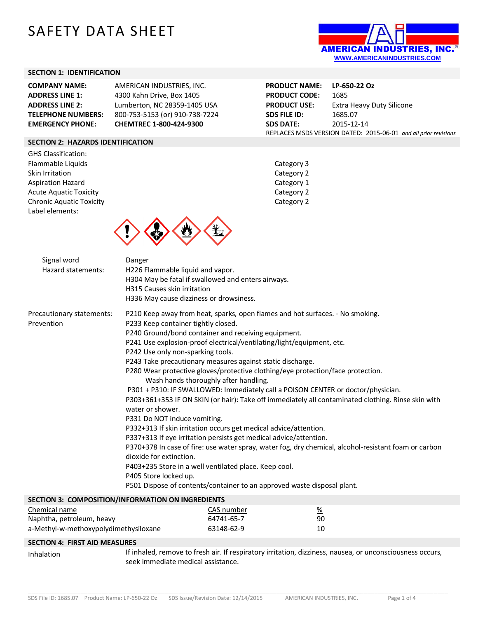# SAFETY DATA SHEET



### **SECTION 1: IDENTIFICATION**

| <b>COMPANY NAME:</b>      | AMERICAN INDUSTRIES, INC.      |
|---------------------------|--------------------------------|
| <b>ADDRESS LINE 1:</b>    | 4300 Kahn Drive, Box 1405      |
| <b>ADDRESS LINE 2:</b>    | Lumberton, NC 28359-1405 USA   |
| <b>TELEPHONE NUMBERS:</b> | 800-753-5153 (or) 910-738-7224 |
| <b>EMERGENCY PHONE:</b>   | CHEMTREC 1-800-424-9300        |

**PRODUCT NAME: LP-650-22 Oz PRODUCT CODE:** 1685 **PRODUCT USE:** Extra Heavy Duty Silicone **SDS FILE ID:** 1685.07 **SDS DATE:** 2015-12-14 REPLACES MSDS VERSION DATED: 2015-06-01 *and all prior revisions*

# **SECTION 2: HAZARDS IDENTIFICATION**

GHS Classification: Flammable Liquids **Category 3** Skin Irritation Category 2 Aspiration Hazard **Category 1** Acute Aquatic Toxicity **Category 2** Category 2 Chronic Aquatic Toxicity Chronic Aquatic Toxicity Label elements:





| Signal word               | Danger                                                                                               |
|---------------------------|------------------------------------------------------------------------------------------------------|
| Hazard statements:        | H226 Flammable liquid and vapor.                                                                     |
|                           | H304 May be fatal if swallowed and enters airways.                                                   |
|                           | H315 Causes skin irritation                                                                          |
|                           | H336 May cause dizziness or drowsiness.                                                              |
| Precautionary statements: | P210 Keep away from heat, sparks, open flames and hot surfaces. - No smoking.                        |
| Prevention                | P233 Keep container tightly closed.                                                                  |
|                           | P240 Ground/bond container and receiving equipment.                                                  |
|                           | P241 Use explosion-proof electrical/ventilating/light/equipment, etc.                                |
|                           | P242 Use only non-sparking tools.                                                                    |
|                           | P243 Take precautionary measures against static discharge.                                           |
|                           | P280 Wear protective gloves/protective clothing/eye protection/face protection.                      |
|                           | Wash hands thoroughly after handling.                                                                |
|                           | P301 + P310: IF SWALLOWED: Immediately call a POISON CENTER or doctor/physician.                     |
|                           | P303+361+353 IF ON SKIN (or hair): Take off immediately all contaminated clothing. Rinse skin with   |
|                           | water or shower.                                                                                     |
|                           | P331 Do NOT induce vomiting.                                                                         |
|                           | P332+313 If skin irritation occurs get medical advice/attention.                                     |
|                           | P337+313 If eye irritation persists get medical advice/attention.                                    |
|                           | P370+378 In case of fire: use water spray, water fog, dry chemical, alcohol-resistant foam or carbon |
|                           | dioxide for extinction.                                                                              |
|                           | P403+235 Store in a well ventilated place. Keep cool.                                                |
|                           | P405 Store locked up.                                                                                |
|                           | P501 Dispose of contents/container to an approved waste disposal plant.                              |
|                           | SECTION 3: COMPOSITION/INFORMATION ON INGREDIENTS                                                    |

\_\_\_\_\_\_\_\_\_\_\_\_\_\_\_\_\_\_\_\_\_\_\_\_\_\_\_\_\_\_\_\_\_\_\_\_\_\_\_\_\_\_\_\_\_\_\_\_\_\_\_\_\_\_\_\_\_\_\_\_\_\_\_\_\_\_\_\_\_\_\_\_\_\_\_\_\_\_\_\_\_\_\_\_\_\_\_\_\_\_\_\_\_\_\_\_\_\_\_\_\_\_\_\_\_\_\_\_\_\_\_\_\_\_\_\_\_\_\_\_

| <b>SECTION 3: COMPOSITION/INFORMATION ON INGREDIENTS</b> |            |    |  |
|----------------------------------------------------------|------------|----|--|
| Chemical name                                            | CAS number | %  |  |
| Naphtha, petroleum, heavy                                | 64741-65-7 | 90 |  |
| a-Methyl-w-methoxypolydimethysiloxane                    | 63148-62-9 | 10 |  |

# **SECTION 4: FIRST AID MEASURES**

Inhalation If inhaled, remove to fresh air. If respiratory irritation, dizziness, nausea, or unconsciousness occurs, seek immediate medical assistance.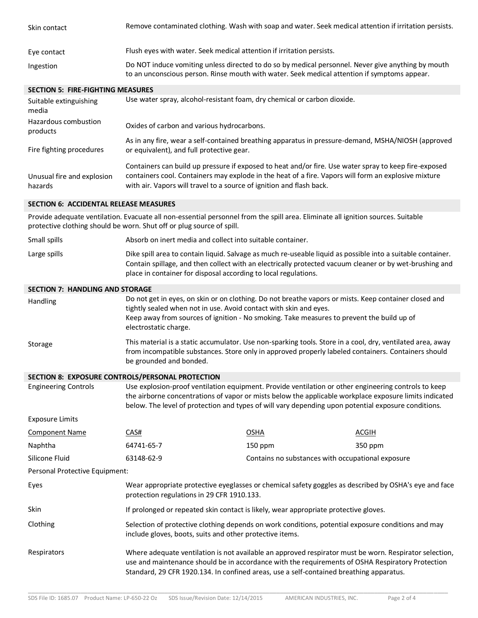| Skin contact                                                                                                                                                                                                                                                                                                                                         | Remove contaminated clothing. Wash with soap and water. Seek medical attention if irritation persists.                                                                                                                                                                                           |                                                   |              |
|------------------------------------------------------------------------------------------------------------------------------------------------------------------------------------------------------------------------------------------------------------------------------------------------------------------------------------------------------|--------------------------------------------------------------------------------------------------------------------------------------------------------------------------------------------------------------------------------------------------------------------------------------------------|---------------------------------------------------|--------------|
| Eye contact                                                                                                                                                                                                                                                                                                                                          | Flush eyes with water. Seek medical attention if irritation persists.                                                                                                                                                                                                                            |                                                   |              |
| Ingestion                                                                                                                                                                                                                                                                                                                                            | Do NOT induce vomiting unless directed to do so by medical personnel. Never give anything by mouth<br>to an unconscious person. Rinse mouth with water. Seek medical attention if symptoms appear.                                                                                               |                                                   |              |
| <b>SECTION 5: FIRE-FIGHTING MEASURES</b>                                                                                                                                                                                                                                                                                                             |                                                                                                                                                                                                                                                                                                  |                                                   |              |
| Suitable extinguishing<br>media                                                                                                                                                                                                                                                                                                                      | Use water spray, alcohol-resistant foam, dry chemical or carbon dioxide.                                                                                                                                                                                                                         |                                                   |              |
| Hazardous combustion<br>products                                                                                                                                                                                                                                                                                                                     | Oxides of carbon and various hydrocarbons.                                                                                                                                                                                                                                                       |                                                   |              |
| Fire fighting procedures                                                                                                                                                                                                                                                                                                                             | As in any fire, wear a self-contained breathing apparatus in pressure-demand, MSHA/NIOSH (approved<br>or equivalent), and full protective gear.                                                                                                                                                  |                                                   |              |
| Unusual fire and explosion<br>hazards                                                                                                                                                                                                                                                                                                                | Containers can build up pressure if exposed to heat and/or fire. Use water spray to keep fire-exposed<br>containers cool. Containers may explode in the heat of a fire. Vapors will form an explosive mixture<br>with air. Vapors will travel to a source of ignition and flash back.            |                                                   |              |
| <b>SECTION 6: ACCIDENTAL RELEASE MEASURES</b>                                                                                                                                                                                                                                                                                                        |                                                                                                                                                                                                                                                                                                  |                                                   |              |
|                                                                                                                                                                                                                                                                                                                                                      | Provide adequate ventilation. Evacuate all non-essential personnel from the spill area. Eliminate all ignition sources. Suitable<br>protective clothing should be worn. Shut off or plug source of spill.                                                                                        |                                                   |              |
| Small spills                                                                                                                                                                                                                                                                                                                                         | Absorb on inert media and collect into suitable container.                                                                                                                                                                                                                                       |                                                   |              |
| Large spills                                                                                                                                                                                                                                                                                                                                         | Dike spill area to contain liquid. Salvage as much re-useable liquid as possible into a suitable container.<br>Contain spillage, and then collect with an electrically protected vacuum cleaner or by wet-brushing and<br>place in container for disposal according to local regulations.        |                                                   |              |
| <b>SECTION 7: HANDLING AND STORAGE</b>                                                                                                                                                                                                                                                                                                               |                                                                                                                                                                                                                                                                                                  |                                                   |              |
| Handling                                                                                                                                                                                                                                                                                                                                             | Do not get in eyes, on skin or on clothing. Do not breathe vapors or mists. Keep container closed and<br>tightly sealed when not in use. Avoid contact with skin and eyes.<br>Keep away from sources of ignition - No smoking. Take measures to prevent the build up of<br>electrostatic charge. |                                                   |              |
| Storage                                                                                                                                                                                                                                                                                                                                              | This material is a static accumulator. Use non-sparking tools. Store in a cool, dry, ventilated area, away<br>from incompatible substances. Store only in approved properly labeled containers. Containers should<br>be grounded and bonded.                                                     |                                                   |              |
|                                                                                                                                                                                                                                                                                                                                                      | SECTION 8: EXPOSURE CONTROLS/PERSONAL PROTECTION                                                                                                                                                                                                                                                 |                                                   |              |
| <b>Engineering Controls</b><br>Use explosion-proof ventilation equipment. Provide ventilation or other engineering controls to keep<br>the airborne concentrations of vapor or mists below the applicable workplace exposure limits indicated<br>below. The level of protection and types of will vary depending upon potential exposure conditions. |                                                                                                                                                                                                                                                                                                  |                                                   |              |
| <b>Exposure Limits</b>                                                                                                                                                                                                                                                                                                                               |                                                                                                                                                                                                                                                                                                  |                                                   |              |
| <b>Component Name</b>                                                                                                                                                                                                                                                                                                                                | CAS#                                                                                                                                                                                                                                                                                             | <b>OSHA</b>                                       | <b>ACGIH</b> |
| Naphtha                                                                                                                                                                                                                                                                                                                                              | 64741-65-7                                                                                                                                                                                                                                                                                       | 150 ppm                                           | 350 ppm      |
| Silicone Fluid                                                                                                                                                                                                                                                                                                                                       | 63148-62-9                                                                                                                                                                                                                                                                                       | Contains no substances with occupational exposure |              |
| Personal Protective Equipment:                                                                                                                                                                                                                                                                                                                       |                                                                                                                                                                                                                                                                                                  |                                                   |              |
| Eyes                                                                                                                                                                                                                                                                                                                                                 | Wear appropriate protective eyeglasses or chemical safety goggles as described by OSHA's eye and face<br>protection regulations in 29 CFR 1910.133.                                                                                                                                              |                                                   |              |
| Skin                                                                                                                                                                                                                                                                                                                                                 | If prolonged or repeated skin contact is likely, wear appropriate protective gloves.                                                                                                                                                                                                             |                                                   |              |
| Clothing                                                                                                                                                                                                                                                                                                                                             | Selection of protective clothing depends on work conditions, potential exposure conditions and may<br>include gloves, boots, suits and other protective items.                                                                                                                                   |                                                   |              |
| Respirators                                                                                                                                                                                                                                                                                                                                          | Where adequate ventilation is not available an approved respirator must be worn. Respirator selection,<br>use and maintenance should be in accordance with the requirements of OSHA Respiratory Protection                                                                                       |                                                   |              |

Standard, 29 CFR 1920.134. In confined areas, use a self-contained breathing apparatus.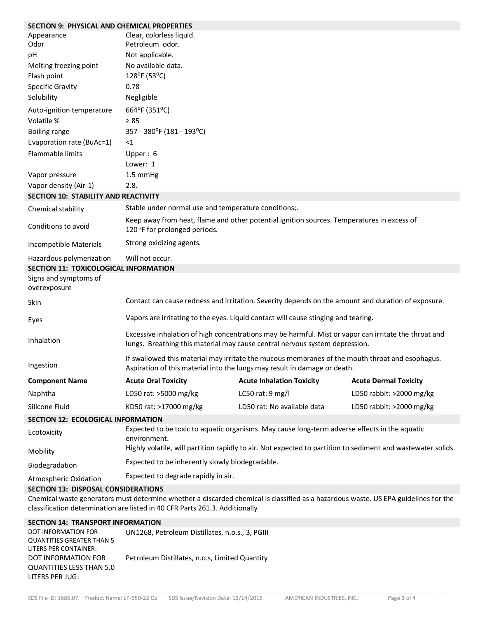| <b>SECTION 9: PHYSICAL AND CHEMICAL PROPERTIES</b>                                                                                                                                                                 |                                                                                                                                                                                      |                                                                                                              |                              |
|--------------------------------------------------------------------------------------------------------------------------------------------------------------------------------------------------------------------|--------------------------------------------------------------------------------------------------------------------------------------------------------------------------------------|--------------------------------------------------------------------------------------------------------------|------------------------------|
| Appearance<br>Odor                                                                                                                                                                                                 | Clear, colorless liquid.<br>Petroleum odor.                                                                                                                                          |                                                                                                              |                              |
| pH                                                                                                                                                                                                                 | Not applicable.                                                                                                                                                                      |                                                                                                              |                              |
| Melting freezing point                                                                                                                                                                                             | No available data.                                                                                                                                                                   |                                                                                                              |                              |
| Flash point                                                                                                                                                                                                        | 128°F (53°C)                                                                                                                                                                         |                                                                                                              |                              |
| <b>Specific Gravity</b>                                                                                                                                                                                            | 0.78                                                                                                                                                                                 |                                                                                                              |                              |
| Solubility                                                                                                                                                                                                         | Negligible                                                                                                                                                                           |                                                                                                              |                              |
| Auto-ignition temperature                                                                                                                                                                                          | 664°F (351°C)                                                                                                                                                                        |                                                                                                              |                              |
| Volatile %                                                                                                                                                                                                         | $\geq 85$                                                                                                                                                                            |                                                                                                              |                              |
| Boiling range                                                                                                                                                                                                      | 357 - 380°F (181 - 193°C)                                                                                                                                                            |                                                                                                              |                              |
| Evaporation rate (BuAc=1)                                                                                                                                                                                          | $<$ 1                                                                                                                                                                                |                                                                                                              |                              |
| Flammable limits                                                                                                                                                                                                   | Upper: 6                                                                                                                                                                             |                                                                                                              |                              |
|                                                                                                                                                                                                                    | Lower: 1                                                                                                                                                                             |                                                                                                              |                              |
| Vapor pressure                                                                                                                                                                                                     | 1.5 mmHg                                                                                                                                                                             |                                                                                                              |                              |
| Vapor density (Air-1)                                                                                                                                                                                              | 2.8.                                                                                                                                                                                 |                                                                                                              |                              |
| <b>SECTION 10: STABILITY AND REACTIVITY</b>                                                                                                                                                                        |                                                                                                                                                                                      |                                                                                                              |                              |
| Chemical stability                                                                                                                                                                                                 | Stable under normal use and temperature conditions;.                                                                                                                                 |                                                                                                              |                              |
| Conditions to avoid                                                                                                                                                                                                | Keep away from heat, flame and other potential ignition sources. Temperatures in excess of<br>120 °F for prolonged periods.                                                          |                                                                                                              |                              |
| Incompatible Materials                                                                                                                                                                                             | Strong oxidizing agents.                                                                                                                                                             |                                                                                                              |                              |
| Hazardous polymerization                                                                                                                                                                                           | Will not occur.                                                                                                                                                                      |                                                                                                              |                              |
| SECTION 11: TOXICOLOGICAL INFORMATION                                                                                                                                                                              |                                                                                                                                                                                      |                                                                                                              |                              |
| Signs and symptoms of<br>overexposure                                                                                                                                                                              |                                                                                                                                                                                      |                                                                                                              |                              |
| Skin                                                                                                                                                                                                               |                                                                                                                                                                                      | Contact can cause redness and irritation. Severity depends on the amount and duration of exposure.           |                              |
| Eyes                                                                                                                                                                                                               |                                                                                                                                                                                      | Vapors are irritating to the eyes. Liquid contact will cause stinging and tearing.                           |                              |
| Inhalation                                                                                                                                                                                                         | Excessive inhalation of high concentrations may be harmful. Mist or vapor can irritate the throat and<br>lungs. Breathing this material may cause central nervous system depression. |                                                                                                              |                              |
| Ingestion                                                                                                                                                                                                          | If swallowed this material may irritate the mucous membranes of the mouth throat and esophagus.<br>Aspiration of this material into the lungs may result in damage or death.         |                                                                                                              |                              |
| <b>Component Name</b>                                                                                                                                                                                              | <b>Acute Oral Toxicity</b>                                                                                                                                                           | <b>Acute Inhalation Toxicity</b>                                                                             | <b>Acute Dermal Toxicity</b> |
| Naphtha                                                                                                                                                                                                            | LD50 rat: >5000 mg/kg                                                                                                                                                                | LC50 rat: 9 mg/l                                                                                             | LD50 rabbit: >2000 mg/kg     |
| Silicone Fluid                                                                                                                                                                                                     | KD50 rat: >17000 mg/kg                                                                                                                                                               | LD50 rat: No available data                                                                                  | LD50 rabbit: >2000 mg/kg     |
| SECTION 12: ECOLOGICAL INFORMATION                                                                                                                                                                                 |                                                                                                                                                                                      |                                                                                                              |                              |
| Ecotoxicity                                                                                                                                                                                                        | environment.                                                                                                                                                                         | Expected to be toxic to aquatic organisms. May cause long-term adverse effects in the aquatic                |                              |
| Mobility                                                                                                                                                                                                           |                                                                                                                                                                                      | Highly volatile, will partition rapidly to air. Not expected to partition to sediment and wastewater solids. |                              |
| Biodegradation                                                                                                                                                                                                     | Expected to be inherently slowly biodegradable.                                                                                                                                      |                                                                                                              |                              |
| Atmospheric Oxidation                                                                                                                                                                                              | Expected to degrade rapidly in air.                                                                                                                                                  |                                                                                                              |                              |
| <b>SECTION 13: DISPOSAL CONSIDERATIONS</b>                                                                                                                                                                         |                                                                                                                                                                                      |                                                                                                              |                              |
| Chemical waste generators must determine whether a discarded chemical is classified as a hazardous waste. US EPA guidelines for the<br>classification determination are listed in 40 CFR Parts 261.3. Additionally |                                                                                                                                                                                      |                                                                                                              |                              |
| <b>SECTION 14: TRANSPORT INFORMATION</b><br>DOT INFORMATION EOP                                                                                                                                                    | LINIACO Detroloum Distillatos n.o.s. 3 DCUI                                                                                                                                          |                                                                                                              |                              |
|                                                                                                                                                                                                                    |                                                                                                                                                                                      |                                                                                                              |                              |

| DOT INFORMATION FOR       | UN1268, Petroleum Distillates, n.o.s., 3, PGIII |
|---------------------------|-------------------------------------------------|
| QUANTITIES GREATER THAN 5 |                                                 |
| LITERS PER CONTAINER:     |                                                 |
| DOT INFORMATION FOR       | Petroleum Distillates, n.o.s, Limited Quantity  |
| QUANTITIES LESS THAN 5.0  |                                                 |
| LITERS PER JUG:           |                                                 |